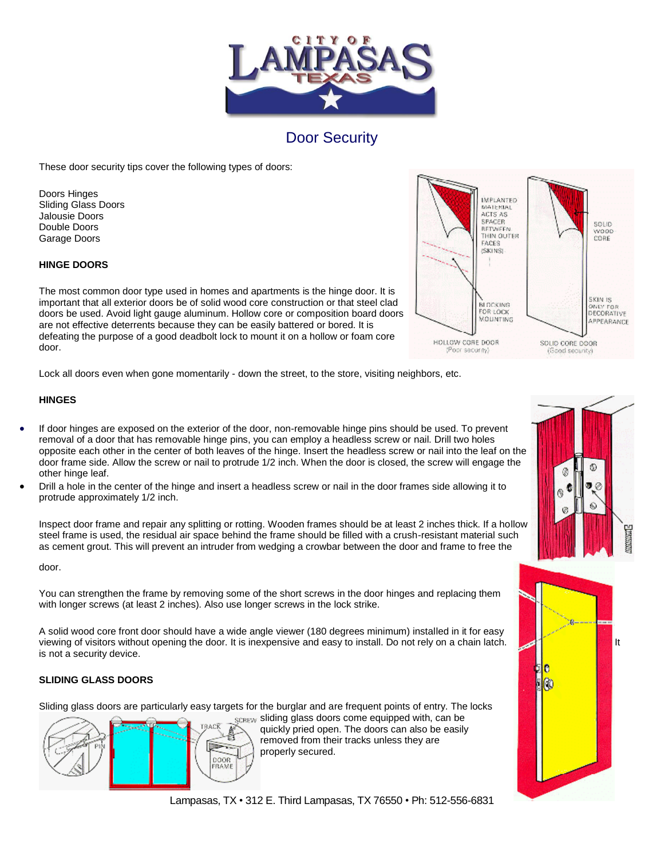

# Door Security

These door security tips cover the following types of doors:

Doors Hinges Sliding Glass Doors Jalousie Doors Double Doors Garage Doors

### **HINGE DOORS**

The most common door type used in homes and apartments is the hinge door. It is important that all exterior doors be of solid wood core construction or that steel clad doors be used. Avoid light gauge aluminum. Hollow core or composition board doors are not effective deterrents because they can be easily battered or bored. It is defeating the purpose of a good deadbolt lock to mount it on a hollow or foam core door.

Lock all doors even when gone momentarily - down the street, to the store, visiting neighbors, etc.

## **HINGES**

- If door hinges are exposed on the exterior of the door, non-removable hinge pins should be used. To prevent removal of a door that has removable hinge pins, you can employ a headless screw or nail. Drill two holes opposite each other in the center of both leaves of the hinge. Insert the headless screw or nail into the leaf on the door frame side. Allow the screw or nail to protrude 1/2 inch. When the door is closed, the screw will engage the other hinge leaf.
- Drill a hole in the center of the hinge and insert a headless screw or nail in the door frames side allowing it to protrude approximately 1/2 inch.

Inspect door frame and repair any splitting or rotting. Wooden frames should be at least 2 inches thick. If a hollow steel frame is used, the residual air space behind the frame should be filled with a crush-resistant material such as cement grout. This will prevent an intruder from wedging a crowbar between the door and frame to free the

door.

You can strengthen the frame by removing some of the short screws in the door hinges and replacing them with longer screws (at least 2 inches). Also use longer screws in the lock strike.

A solid wood core front door should have a wide angle viewer (180 degrees minimum) installed in it for easy viewing of visitors without opening the door. It is inexpensive and easy to install. Do not rely on a chain latch. is not a security device.

## **SLIDING GLASS DOORS**

Sliding glass doors are particularly easy targets for the burglar and are frequent points of entry. The locks



SCREW Sliding glass doors come equipped with, can be quickly pried open. The doors can also be easily removed from their tracks unless they are properly secured.







Lampasas, TX • 312 E. Third Lampasas, TX 76550 • Ph: 512-556-6831